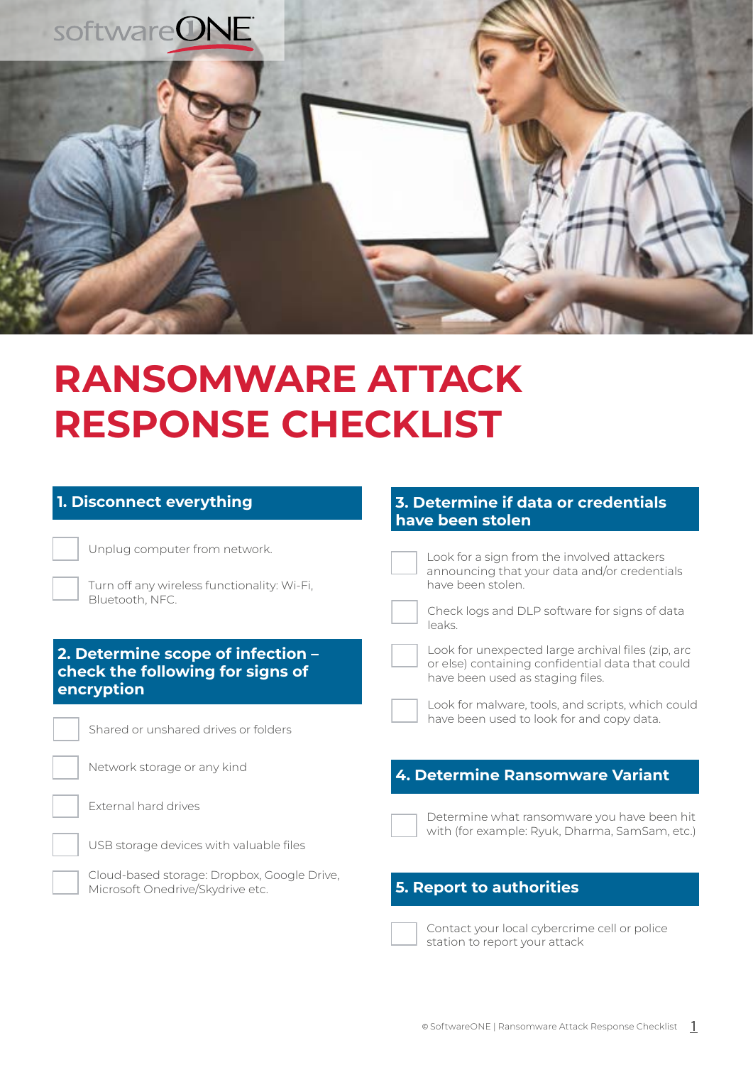

# **RANSOMWARE ATTACK RESPONSE CHECKLIST**

## **1. Disconnect everything**

Unplug computer from network.

Turn off any wireless functionality: Wi-Fi, Bluetooth, NFC.

## **2. Determine scope of infection – check the following for signs of encryption**



Shared or unshared drives or folders

Network storage or any kind

External hard drives

USB storage devices with valuable files



#### **3. Determine if data or credentials have been stolen**

Look for a sign from the involved attackers announcing that your data and/or credentials have been stolen.

Check logs and DLP software for signs of data leaks.

Look for unexpected large archival files (zip, arc or else) containing confidential data that could have been used as staging files.

Look for malware, tools, and scripts, which could have been used to look for and copy data.

# **4. Determine Ransomware Variant**

Determine what ransomware you have been hit with (for example: Ryuk, Dharma, SamSam, etc.)

## **5. Report to authorities**



Contact your local cybercrime cell or police station to report your attack